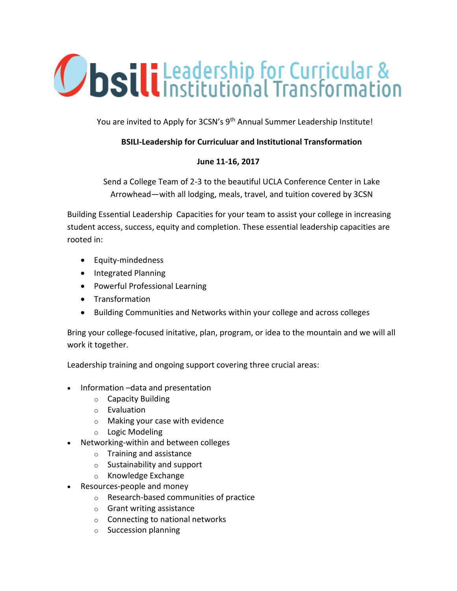## **Ubsili** Leadership for Curricular &

You are invited to Apply for 3CSN's 9<sup>th</sup> Annual Summer Leadership Institute!

## **BSILI-Leadership for Curriculuar and Institutional Transformation**

## **June 11-16, 2017**

Send a College Team of 2-3 to the beautiful UCLA Conference Center in Lake Arrowhead—with all lodging, meals, travel, and tuition covered by 3CSN

Building Essential Leadership Capacities for your team to assist your college in increasing student access, success, equity and completion. These essential leadership capacities are rooted in:

- Equity-mindedness
- Integrated Planning
- Powerful Professional Learning
- Transformation
- Building Communities and Networks within your college and across colleges

Bring your college-focused initative, plan, program, or idea to the mountain and we will all work it together.

Leadership training and ongoing support covering three crucial areas:

- Information –data and presentation
	- o Capacity Building
	- o Evaluation
	- o Making your case with evidence
	- o Logic Modeling
- Networking-within and between colleges
	- o Training and assistance
	- o Sustainability and support
	- o Knowledge Exchange
- Resources-people and money
	- o Research-based communities of practice
	- o Grant writing assistance
	- o Connecting to national networks
	- o Succession planning